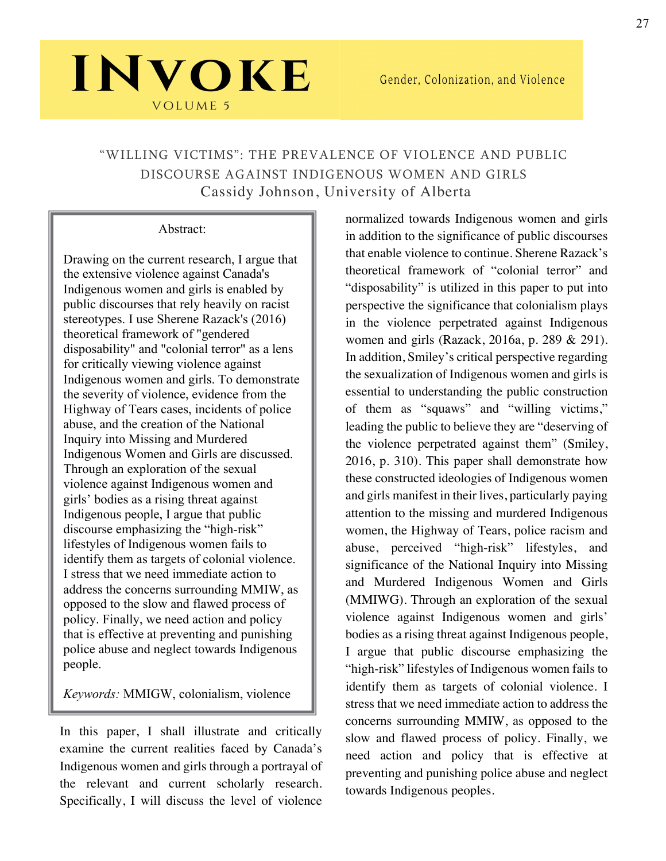## "WILLING VICTIMS": THE PREVALENCE OF VIOLENCE AND PUBLIC DISCOURSE AGAINST INDIGENOUS WOMEN AND GIRLS Cassidy Johnson, University of Alberta

#### Abstract:

INVOKE

**VOLUME 5** 

Drawing on the current research, I argue that the extensive violence against Canada's Indigenous women and girls is enabled by public discourses that rely heavily on racist stereotypes. I use Sherene Razack's (2016) theoretical framework of "gendered disposability" and "colonial terror" as a lens for critically viewing violence against Indigenous women and girls. To demonstrate the severity of violence, evidence from the Highway of Tears cases, incidents of police abuse, and the creation of the National Inquiry into Missing and Murdered Indigenous Women and Girls are discussed. Through an exploration of the sexual violence against Indigenous women and girls' bodies as a rising threat against Indigenous people, I argue that public discourse emphasizing the "high-risk" lifestyles of Indigenous women fails to identify them as targets of colonial violence. I stress that we need immediate action to address the concerns surrounding MMIW, as opposed to the slow and flawed process of policy. Finally, we need action and policy that is effective at preventing and punishing police abuse and neglect towards Indigenous people.

*Keywords:* MMIGW, colonialism, violence

In this paper, I shall illustrate and critically examine the current realities faced by Canada's Indigenous women and girls through a portrayal of the relevant and current scholarly research. Specifically, I will discuss the level of violence

normalized towards Indigenous women and girls in addition to the significance of public discourses that enable violence to continue. Sherene Razack's theoretical framework of "colonial terror" and "disposability" is utilized in this paper to put into perspective the significance that colonialism plays in the violence perpetrated against Indigenous women and girls (Razack, 2016a, p. 289 & 291). In addition, Smiley's critical perspective regarding the sexualization of Indigenous women and girls is essential to understanding the public construction of them as "squaws" and "willing victims," leading the public to believe they are "deserving of the violence perpetrated against them" (Smiley, 2016, p. 310). This paper shall demonstrate how these constructed ideologies of Indigenous women and girls manifest in their lives, particularly paying attention to the missing and murdered Indigenous women, the Highway of Tears, police racism and abuse, perceived "high-risk" lifestyles, and significance of the National Inquiry into Missing and Murdered Indigenous Women and Girls (MMIWG). Through an exploration of the sexual violence against Indigenous women and girls' bodies as a rising threat against Indigenous people, I argue that public discourse emphasizing the "high-risk" lifestyles of Indigenous women fails to identify them as targets of colonial violence. I stress that we need immediate action to address the concerns surrounding MMIW, as opposed to the slow and flawed process of policy. Finally, we need action and policy that is effective at preventing and punishing police abuse and neglect towards Indigenous peoples.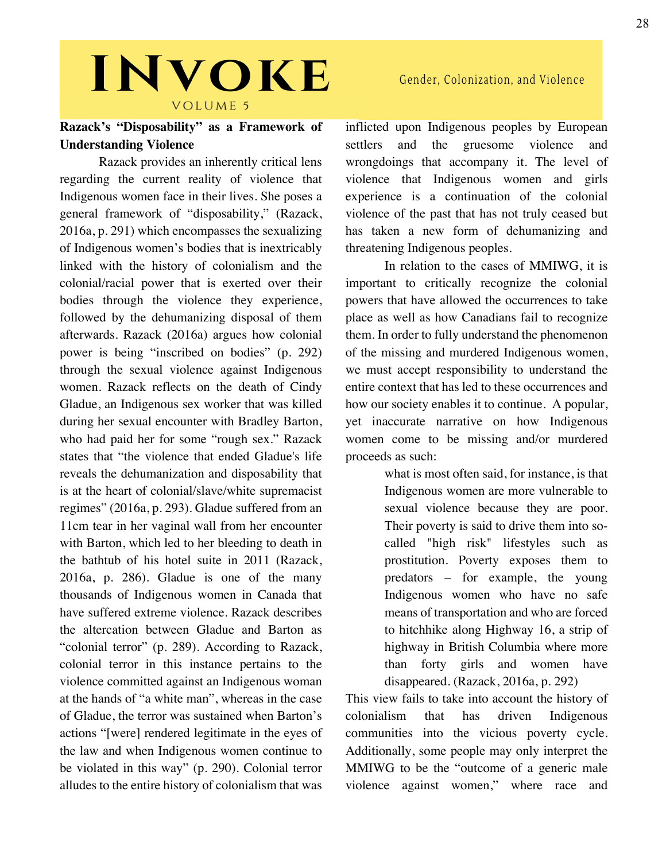### Gender, Colonization, and Violence

# INVOKE VOLUME 5

### **Razack's "Disposability" as a Framework of Understanding Violence**

Razack provides an inherently critical lens regarding the current reality of violence that Indigenous women face in their lives. She poses a general framework of "disposability," (Razack, 2016a, p. 291) which encompasses the sexualizing of Indigenous women's bodies that is inextricably linked with the history of colonialism and the colonial/racial power that is exerted over their bodies through the violence they experience, followed by the dehumanizing disposal of them afterwards. Razack (2016a) argues how colonial power is being "inscribed on bodies" (p. 292) through the sexual violence against Indigenous women. Razack reflects on the death of Cindy Gladue, an Indigenous sex worker that was killed during her sexual encounter with Bradley Barton, who had paid her for some "rough sex." Razack states that "the violence that ended Gladue's life reveals the dehumanization and disposability that is at the heart of colonial/slave/white supremacist regimes" (2016a, p. 293). Gladue suffered from an 11cm tear in her vaginal wall from her encounter with Barton, which led to her bleeding to death in the bathtub of his hotel suite in 2011 (Razack, 2016a, p. 286). Gladue is one of the many thousands of Indigenous women in Canada that have suffered extreme violence. Razack describes the altercation between Gladue and Barton as "colonial terror" (p. 289). According to Razack, colonial terror in this instance pertains to the violence committed against an Indigenous woman at the hands of "a white man", whereas in the case of Gladue, the terror was sustained when Barton's actions "[were] rendered legitimate in the eyes of the law and when Indigenous women continue to be violated in this way" (p. 290). Colonial terror alludes to the entire history of colonialism that was

inflicted upon Indigenous peoples by European settlers and the gruesome violence and wrongdoings that accompany it. The level of violence that Indigenous women and girls experience is a continuation of the colonial violence of the past that has not truly ceased but has taken a new form of dehumanizing and threatening Indigenous peoples.

In relation to the cases of MMIWG, it is important to critically recognize the colonial powers that have allowed the occurrences to take place as well as how Canadians fail to recognize them. In order to fully understand the phenomenon of the missing and murdered Indigenous women, we must accept responsibility to understand the entire context that has led to these occurrences and how our society enables it to continue. A popular, yet inaccurate narrative on how Indigenous women come to be missing and/or murdered proceeds as such:

> what is most often said, for instance, is that Indigenous women are more vulnerable to sexual violence because they are poor. Their poverty is said to drive them into socalled "high risk" lifestyles such as prostitution. Poverty exposes them to predators – for example, the young Indigenous women who have no safe means of transportation and who are forced to hitchhike along Highway 16, a strip of highway in British Columbia where more than forty girls and women have disappeared. (Razack, 2016a, p. 292)

This view fails to take into account the history of colonialism that has driven Indigenous communities into the vicious poverty cycle. Additionally, some people may only interpret the MMIWG to be the "outcome of a generic male violence against women," where race and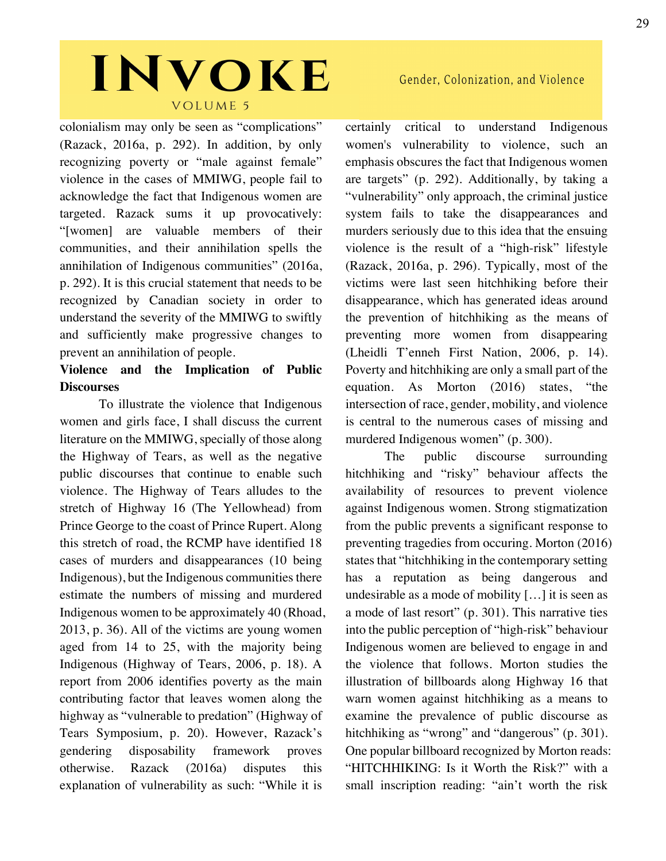colonialism may only be seen as "complications" (Razack, 2016a, p. 292). In addition, by only recognizing poverty or "male against female" violence in the cases of MMIWG, people fail to acknowledge the fact that Indigenous women are targeted. Razack sums it up provocatively: "[women] are valuable members of their communities, and their annihilation spells the annihilation of Indigenous communities" (2016a, p. 292). It is this crucial statement that needs to be recognized by Canadian society in order to understand the severity of the MMIWG to swiftly and sufficiently make progressive changes to prevent an annihilation of people.

### **Violence and the Implication of Public Discourses**

To illustrate the violence that Indigenous women and girls face, I shall discuss the current literature on the MMIWG, specially of those along the Highway of Tears, as well as the negative public discourses that continue to enable such violence. The Highway of Tears alludes to the stretch of Highway 16 (The Yellowhead) from Prince George to the coast of Prince Rupert. Along this stretch of road, the RCMP have identified 18 cases of murders and disappearances (10 being Indigenous), but the Indigenous communities there estimate the numbers of missing and murdered Indigenous women to be approximately 40 (Rhoad, 2013, p. 36). All of the victims are young women aged from 14 to 25, with the majority being Indigenous (Highway of Tears, 2006, p. 18). A report from 2006 identifies poverty as the main contributing factor that leaves women along the highway as "vulnerable to predation" (Highway of Tears Symposium, p. 20). However, Razack's gendering disposability framework proves otherwise. Razack (2016a) disputes this explanation of vulnerability as such: "While it is

certainly critical to understand Indigenous women's vulnerability to violence, such an emphasis obscures the fact that Indigenous women are targets" (p. 292). Additionally, by taking a "vulnerability" only approach, the criminal justice system fails to take the disappearances and murders seriously due to this idea that the ensuing violence is the result of a "high-risk" lifestyle (Razack, 2016a, p. 296). Typically, most of the victims were last seen hitchhiking before their disappearance, which has generated ideas around the prevention of hitchhiking as the means of preventing more women from disappearing (Lheidli T'enneh First Nation, 2006, p. 14). Poverty and hitchhiking are only a small part of the equation. As Morton (2016) states, "the intersection of race, gender, mobility, and violence is central to the numerous cases of missing and murdered Indigenous women" (p. 300).

The public discourse surrounding hitchhiking and "risky" behaviour affects the availability of resources to prevent violence against Indigenous women. Strong stigmatization from the public prevents a significant response to preventing tragedies from occuring. Morton (2016) states that "hitchhiking in the contemporary setting has a reputation as being dangerous and undesirable as a mode of mobility […] it is seen as a mode of last resort" (p. 301). This narrative ties into the public perception of "high-risk" behaviour Indigenous women are believed to engage in and the violence that follows. Morton studies the illustration of billboards along Highway 16 that warn women against hitchhiking as a means to examine the prevalence of public discourse as hitchhiking as "wrong" and "dangerous" (p. 301). One popular billboard recognized by Morton reads: "HITCHHIKING: Is it Worth the Risk?" with a small inscription reading: "ain't worth the risk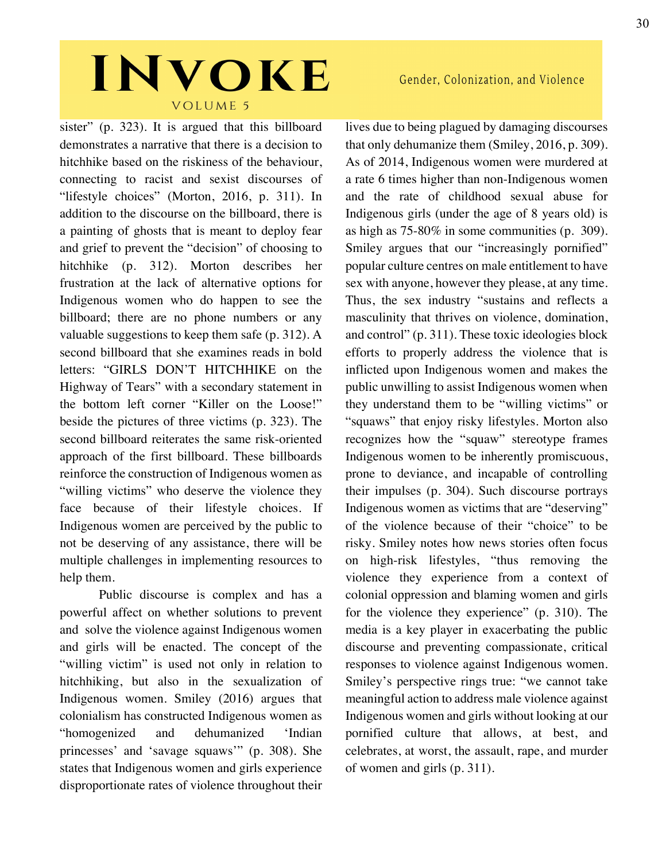sister" (p. 323). It is argued that this billboard demonstrates a narrative that there is a decision to hitchhike based on the riskiness of the behaviour, connecting to racist and sexist discourses of "lifestyle choices" (Morton, 2016, p. 311). In addition to the discourse on the billboard, there is a painting of ghosts that is meant to deploy fear and grief to prevent the "decision" of choosing to hitchhike (p. 312). Morton describes her frustration at the lack of alternative options for Indigenous women who do happen to see the billboard; there are no phone numbers or any valuable suggestions to keep them safe (p. 312). A second billboard that she examines reads in bold letters: "GIRLS DON'T HITCHHIKE on the Highway of Tears" with a secondary statement in the bottom left corner "Killer on the Loose!" beside the pictures of three victims (p. 323). The second billboard reiterates the same risk-oriented approach of the first billboard. These billboards reinforce the construction of Indigenous women as "willing victims" who deserve the violence they face because of their lifestyle choices. If Indigenous women are perceived by the public to not be deserving of any assistance, there will be multiple challenges in implementing resources to help them.

Public discourse is complex and has a powerful affect on whether solutions to prevent and solve the violence against Indigenous women and girls will be enacted. The concept of the "willing victim" is used not only in relation to hitchhiking, but also in the sexualization of Indigenous women. Smiley (2016) argues that colonialism has constructed Indigenous women as "homogenized and dehumanized 'Indian princesses' and 'savage squaws'" (p. 308). She states that Indigenous women and girls experience disproportionate rates of violence throughout their

### Gender, Colonization, and Violence

lives due to being plagued by damaging discourses that only dehumanize them (Smiley, 2016, p. 309). As of 2014, Indigenous women were murdered at a rate 6 times higher than non-Indigenous women and the rate of childhood sexual abuse for Indigenous girls (under the age of 8 years old) is as high as 75-80% in some communities (p. 309). Smiley argues that our "increasingly pornified" popular culture centres on male entitlement to have sex with anyone, however they please, at any time. Thus, the sex industry "sustains and reflects a masculinity that thrives on violence, domination, and control" (p. 311). These toxic ideologies block efforts to properly address the violence that is inflicted upon Indigenous women and makes the public unwilling to assist Indigenous women when they understand them to be "willing victims" or "squaws" that enjoy risky lifestyles. Morton also recognizes how the "squaw" stereotype frames Indigenous women to be inherently promiscuous, prone to deviance, and incapable of controlling their impulses (p. 304). Such discourse portrays Indigenous women as victims that are "deserving" of the violence because of their "choice" to be risky. Smiley notes how news stories often focus on high-risk lifestyles, "thus removing the violence they experience from a context of colonial oppression and blaming women and girls for the violence they experience" (p. 310). The media is a key player in exacerbating the public discourse and preventing compassionate, critical responses to violence against Indigenous women. Smiley's perspective rings true: "we cannot take meaningful action to address male violence against Indigenous women and girls without looking at our pornified culture that allows, at best, and celebrates, at worst, the assault, rape, and murder of women and girls (p. 311).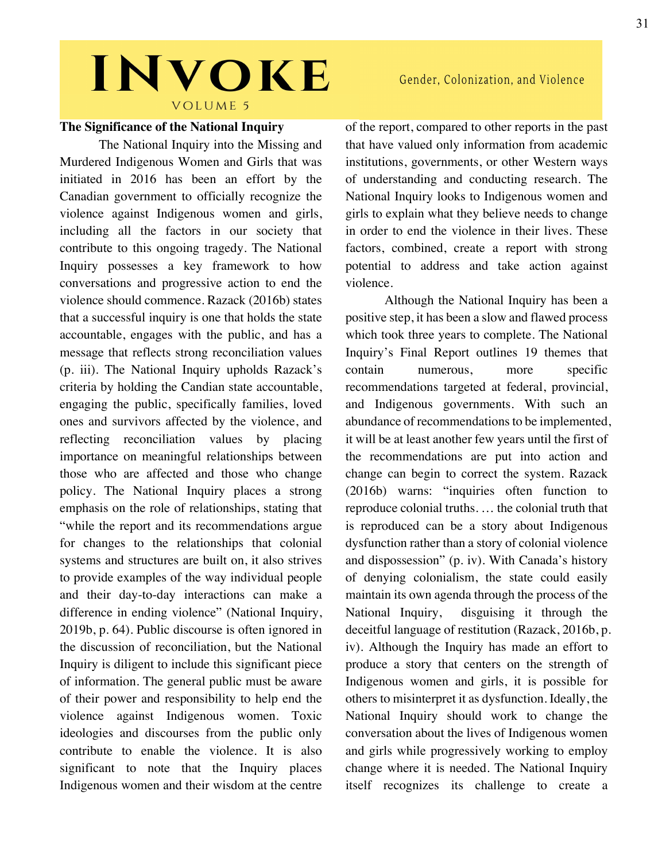#### **The Significance of the National Inquiry**

The National Inquiry into the Missing and Murdered Indigenous Women and Girls that was initiated in 2016 has been an effort by the Canadian government to officially recognize the violence against Indigenous women and girls, including all the factors in our society that contribute to this ongoing tragedy. The National Inquiry possesses a key framework to how conversations and progressive action to end the violence should commence. Razack (2016b) states that a successful inquiry is one that holds the state accountable, engages with the public, and has a message that reflects strong reconciliation values (p. iii). The National Inquiry upholds Razack's criteria by holding the Candian state accountable, engaging the public, specifically families, loved ones and survivors affected by the violence, and reflecting reconciliation values by placing importance on meaningful relationships between those who are affected and those who change policy. The National Inquiry places a strong emphasis on the role of relationships, stating that "while the report and its recommendations argue for changes to the relationships that colonial systems and structures are built on, it also strives to provide examples of the way individual people and their day-to-day interactions can make a difference in ending violence" (National Inquiry, 2019b, p. 64). Public discourse is often ignored in the discussion of reconciliation, but the National Inquiry is diligent to include this significant piece of information. The general public must be aware of their power and responsibility to help end the violence against Indigenous women. Toxic ideologies and discourses from the public only contribute to enable the violence. It is also significant to note that the Inquiry places Indigenous women and their wisdom at the centre

of the report, compared to other reports in the past that have valued only information from academic institutions, governments, or other Western ways of understanding and conducting research. The National Inquiry looks to Indigenous women and girls to explain what they believe needs to change in order to end the violence in their lives. These factors, combined, create a report with strong potential to address and take action against violence.

Although the National Inquiry has been a positive step, it has been a slow and flawed process which took three years to complete. The National Inquiry's Final Report outlines 19 themes that contain numerous, more specific recommendations targeted at federal, provincial, and Indigenous governments. With such an abundance of recommendations to be implemented, it will be at least another few years until the first of the recommendations are put into action and change can begin to correct the system. Razack (2016b) warns: "inquiries often function to reproduce colonial truths. … the colonial truth that is reproduced can be a story about Indigenous dysfunction rather than a story of colonial violence and dispossession" (p. iv). With Canada's history of denying colonialism, the state could easily maintain its own agenda through the process of the National Inquiry, disguising it through the deceitful language of restitution (Razack, 2016b, p. iv). Although the Inquiry has made an effort to produce a story that centers on the strength of Indigenous women and girls, it is possible for others to misinterpret it as dysfunction. Ideally, the National Inquiry should work to change the conversation about the lives of Indigenous women and girls while progressively working to employ change where it is needed. The National Inquiry itself recognizes its challenge to create a

Gender, Colonization, and Violence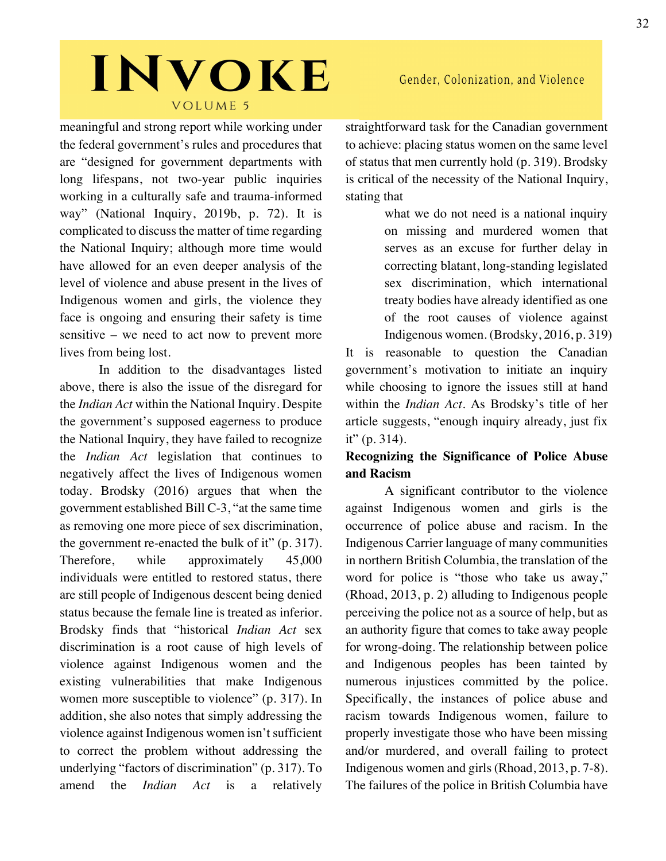meaningful and strong report while working under the federal government's rules and procedures that are "designed for government departments with long lifespans, not two-year public inquiries working in a culturally safe and trauma-informed way" (National Inquiry, 2019b, p. 72). It is complicated to discuss the matter of time regarding the National Inquiry; although more time would have allowed for an even deeper analysis of the level of violence and abuse present in the lives of Indigenous women and girls, the violence they face is ongoing and ensuring their safety is time sensitive – we need to act now to prevent more lives from being lost.

In addition to the disadvantages listed above, there is also the issue of the disregard for the *Indian Act* within the National Inquiry. Despite the government's supposed eagerness to produce the National Inquiry, they have failed to recognize the *Indian Act* legislation that continues to negatively affect the lives of Indigenous women today. Brodsky (2016) argues that when the government established Bill C-3, "at the same time as removing one more piece of sex discrimination, the government re-enacted the bulk of it" (p. 317). Therefore, while approximately 45,000 individuals were entitled to restored status, there are still people of Indigenous descent being denied status because the female line is treated as inferior. Brodsky finds that "historical *Indian Act* sex discrimination is a root cause of high levels of violence against Indigenous women and the existing vulnerabilities that make Indigenous women more susceptible to violence" (p. 317). In addition, she also notes that simply addressing the violence against Indigenous women isn't sufficient to correct the problem without addressing the underlying "factors of discrimination" (p. 317). To amend the *Indian Act* is a relatively

straightforward task for the Canadian government to achieve: placing status women on the same level of status that men currently hold (p. 319). Brodsky is critical of the necessity of the National Inquiry, stating that

> what we do not need is a national inquiry on missing and murdered women that serves as an excuse for further delay in correcting blatant, long-standing legislated sex discrimination, which international treaty bodies have already identified as one of the root causes of violence against Indigenous women. (Brodsky, 2016, p. 319)

It is reasonable to question the Canadian government's motivation to initiate an inquiry while choosing to ignore the issues still at hand within the *Indian Act*. As Brodsky's title of her article suggests, "enough inquiry already, just fix it" (p. 314).

### **Recognizing the Significance of Police Abuse and Racism**

A significant contributor to the violence against Indigenous women and girls is the occurrence of police abuse and racism. In the Indigenous Carrier language of many communities in northern British Columbia, the translation of the word for police is "those who take us away," (Rhoad, 2013, p. 2) alluding to Indigenous people perceiving the police not as a source of help, but as an authority figure that comes to take away people for wrong-doing. The relationship between police and Indigenous peoples has been tainted by numerous injustices committed by the police. Specifically, the instances of police abuse and racism towards Indigenous women, failure to properly investigate those who have been missing and/or murdered, and overall failing to protect Indigenous women and girls (Rhoad, 2013, p. 7-8). The failures of the police in British Columbia have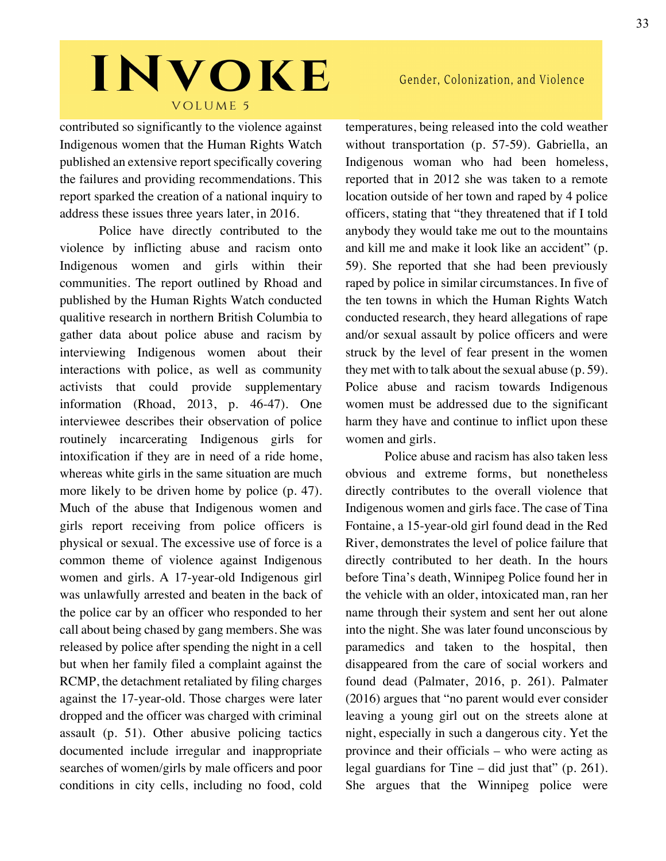contributed so significantly to the violence against Indigenous women that the Human Rights Watch published an extensive report specifically covering the failures and providing recommendations. This report sparked the creation of a national inquiry to address these issues three years later, in 2016.

Police have directly contributed to the violence by inflicting abuse and racism onto Indigenous women and girls within their communities. The report outlined by Rhoad and published by the Human Rights Watch conducted qualitive research in northern British Columbia to gather data about police abuse and racism by interviewing Indigenous women about their interactions with police, as well as community activists that could provide supplementary information (Rhoad, 2013, p. 46-47). One interviewee describes their observation of police routinely incarcerating Indigenous girls for intoxification if they are in need of a ride home, whereas white girls in the same situation are much more likely to be driven home by police (p. 47). Much of the abuse that Indigenous women and girls report receiving from police officers is physical or sexual. The excessive use of force is a common theme of violence against Indigenous women and girls. A 17-year-old Indigenous girl was unlawfully arrested and beaten in the back of the police car by an officer who responded to her call about being chased by gang members. She was released by police after spending the night in a cell but when her family filed a complaint against the RCMP, the detachment retaliated by filing charges against the 17-year-old. Those charges were later dropped and the officer was charged with criminal assault (p. 51). Other abusive policing tactics documented include irregular and inappropriate searches of women/girls by male officers and poor conditions in city cells, including no food, cold temperatures, being released into the cold weather without transportation (p. 57-59). Gabriella, an Indigenous woman who had been homeless, reported that in 2012 she was taken to a remote location outside of her town and raped by 4 police officers, stating that "they threatened that if I told anybody they would take me out to the mountains and kill me and make it look like an accident" (p. 59). She reported that she had been previously raped by police in similar circumstances. In five of the ten towns in which the Human Rights Watch conducted research, they heard allegations of rape and/or sexual assault by police officers and were struck by the level of fear present in the women they met with to talk about the sexual abuse (p. 59). Police abuse and racism towards Indigenous women must be addressed due to the significant harm they have and continue to inflict upon these women and girls.

Police abuse and racism has also taken less obvious and extreme forms, but nonetheless directly contributes to the overall violence that Indigenous women and girls face. The case of Tina Fontaine, a 15-year-old girl found dead in the Red River, demonstrates the level of police failure that directly contributed to her death. In the hours before Tina's death, Winnipeg Police found her in the vehicle with an older, intoxicated man, ran her name through their system and sent her out alone into the night. She was later found unconscious by paramedics and taken to the hospital, then disappeared from the care of social workers and found dead (Palmater, 2016, p. 261). Palmater (2016) argues that "no parent would ever consider leaving a young girl out on the streets alone at night, especially in such a dangerous city. Yet the province and their officials – who were acting as legal guardians for Tine – did just that" (p. 261). She argues that the Winnipeg police were

### Gender, Colonization, and Violence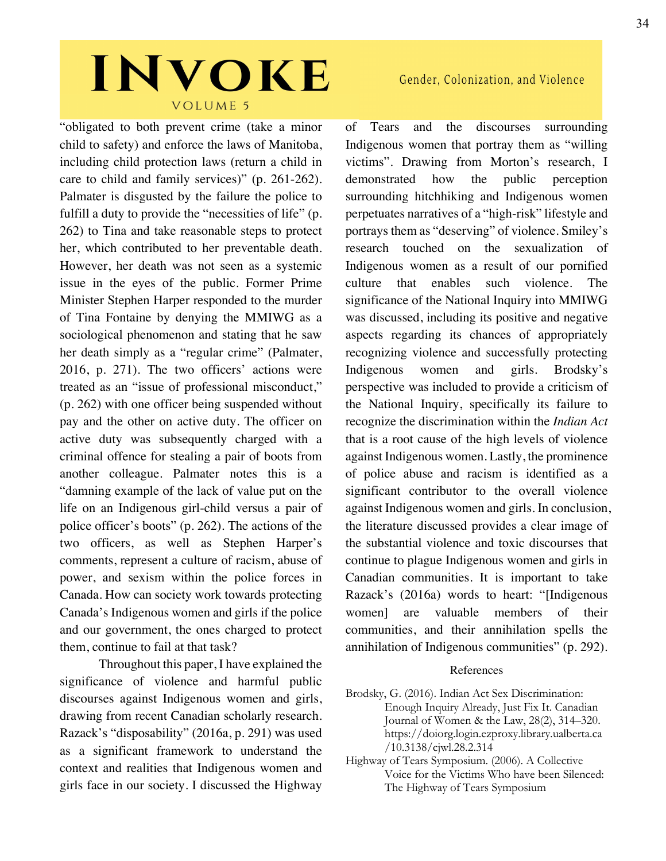"obligated to both prevent crime (take a minor child to safety) and enforce the laws of Manitoba, including child protection laws (return a child in care to child and family services)" (p. 261-262). Palmater is disgusted by the failure the police to fulfill a duty to provide the "necessities of life" (p. 262) to Tina and take reasonable steps to protect her, which contributed to her preventable death. However, her death was not seen as a systemic issue in the eyes of the public. Former Prime Minister Stephen Harper responded to the murder of Tina Fontaine by denying the MMIWG as a sociological phenomenon and stating that he saw her death simply as a "regular crime" (Palmater, 2016, p. 271). The two officers' actions were treated as an "issue of professional misconduct," (p. 262) with one officer being suspended without pay and the other on active duty. The officer on active duty was subsequently charged with a criminal offence for stealing a pair of boots from another colleague. Palmater notes this is a "damning example of the lack of value put on the life on an Indigenous girl-child versus a pair of police officer's boots" (p. 262). The actions of the two officers, as well as Stephen Harper's comments, represent a culture of racism, abuse of power, and sexism within the police forces in Canada. How can society work towards protecting Canada's Indigenous women and girls if the police and our government, the ones charged to protect them, continue to fail at that task?

Throughout this paper, I have explained the significance of violence and harmful public discourses against Indigenous women and girls, drawing from recent Canadian scholarly research. Razack's "disposability" (2016a, p. 291) was used as a significant framework to understand the context and realities that Indigenous women and girls face in our society. I discussed the Highway

### Gender, Colonization, and Violence

of Tears and the discourses surrounding Indigenous women that portray them as "willing victims". Drawing from Morton's research, I demonstrated how the public perception surrounding hitchhiking and Indigenous women perpetuates narratives of a "high-risk" lifestyle and portrays them as "deserving" of violence. Smiley's research touched on the sexualization of Indigenous women as a result of our pornified culture that enables such violence. The significance of the National Inquiry into MMIWG was discussed, including its positive and negative aspects regarding its chances of appropriately recognizing violence and successfully protecting Indigenous women and girls. Brodsky's perspective was included to provide a criticism of the National Inquiry, specifically its failure to recognize the discrimination within the *Indian Act*  that is a root cause of the high levels of violence against Indigenous women. Lastly, the prominence of police abuse and racism is identified as a significant contributor to the overall violence against Indigenous women and girls. In conclusion, the literature discussed provides a clear image of the substantial violence and toxic discourses that continue to plague Indigenous women and girls in Canadian communities. It is important to take Razack's (2016a) words to heart: "[Indigenous women] are valuable members of their communities, and their annihilation spells the annihilation of Indigenous communities" (p. 292).

#### References

Brodsky, G. (2016). Indian Act Sex Discrimination: Enough Inquiry Already, Just Fix It. Canadian Journal of Women & the Law, 28(2), 314–320. https://doiorg.login.ezproxy.library.ualberta.ca /10.3138/cjwl.28.2.314

Highway of Tears Symposium. (2006). A Collective Voice for the Victims Who have been Silenced: The Highway of Tears Symposium